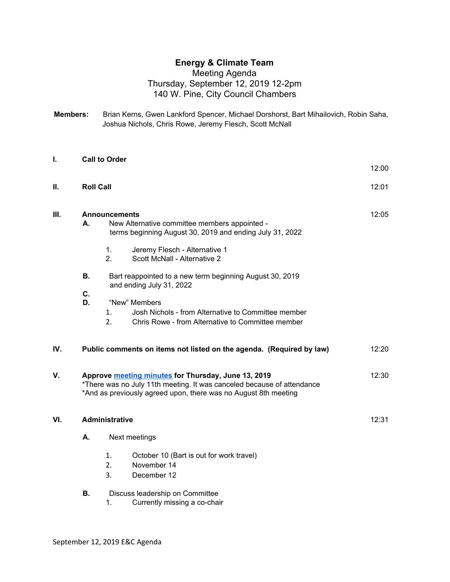## **Energy & Climate Team**

## Meeting Agenda Thursday, September 12, 2019 12-2pm 140 W. Pine, City Council Chambers

**Members:** Brian Kerns, Gwen Lankford Spencer, Michael Dorshorst, Bart Mihailovich, Robin Saha, Joshua Nichols, Chris Rowe, Jeremy Flesch, Scott McNall

| I.   |                                                                                                                                                                                                                      | <b>Call to Order</b> |                                                                                                                                                                                                                   | 12:00 |
|------|----------------------------------------------------------------------------------------------------------------------------------------------------------------------------------------------------------------------|----------------------|-------------------------------------------------------------------------------------------------------------------------------------------------------------------------------------------------------------------|-------|
| Ш.   | <b>Roll Call</b>                                                                                                                                                                                                     |                      |                                                                                                                                                                                                                   | 12:01 |
| III. | <b>Announcements</b><br>New Alternative committee members appointed -<br>А.<br>terms beginning August 30, 2019 and ending July 31, 2022<br>1.<br>Jeremy Flesch - Alternative 1<br>2.<br>Scott McNall - Alternative 2 |                      |                                                                                                                                                                                                                   | 12:05 |
|      | <b>B.</b><br>C.<br>D.                                                                                                                                                                                                | 1.<br>2.             | Bart reappointed to a new term beginning August 30, 2019<br>and ending July 31, 2022<br>"New" Members<br>Josh Nichols - from Alternative to Committee member<br>Chris Rowe - from Alternative to Committee member |       |
| IV.  |                                                                                                                                                                                                                      |                      | Public comments on items not listed on the agenda. (Required by law)                                                                                                                                              | 12:20 |
| V.   |                                                                                                                                                                                                                      |                      | Approve meeting minutes for Thursday, June 13, 2019<br>*There was no July 11th meeting. It was canceled because of attendance<br>*And as previously agreed upon, there was no August 8th meeting                  | 12:30 |
| VI.  | <b>Administrative</b>                                                                                                                                                                                                |                      |                                                                                                                                                                                                                   |       |
|      | А.                                                                                                                                                                                                                   | Next meetings        |                                                                                                                                                                                                                   |       |
|      | В.                                                                                                                                                                                                                   | 1.<br>2.<br>3.<br>1. | October 10 (Bart is out for work travel)<br>November 14<br>December 12<br>Discuss leadership on Committee<br>Currently missing a co-chair                                                                         |       |